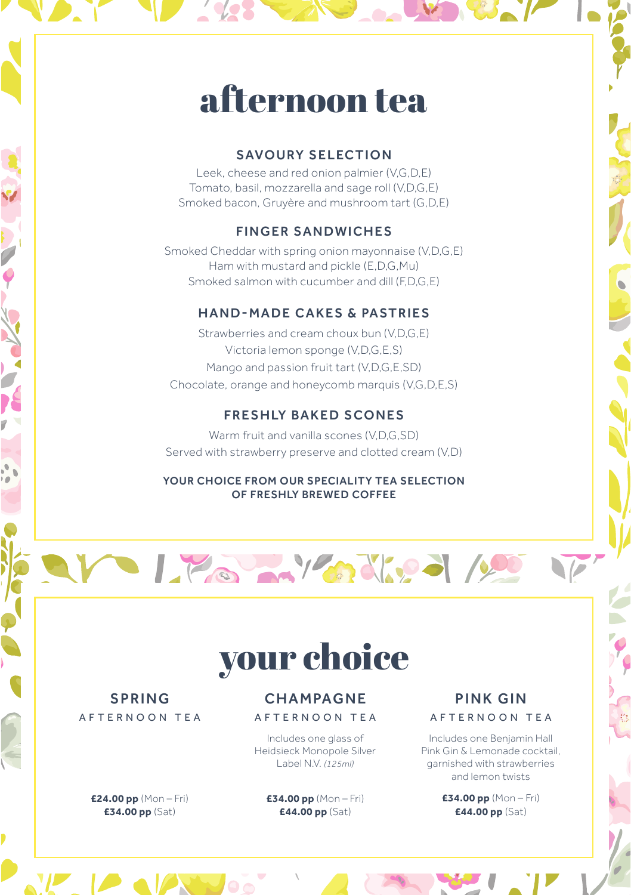# afternoon tea

### SAVOURY SELECTION

Leek, cheese and red onion palmier (V,G,D,E) Tomato, basil, mozzarella and sage roll (V,D,G,E) Smoked bacon, Gruyère and mushroom tart (G,D,E)

# FINGER SANDWICHES

Smoked Cheddar with spring onion mayonnaise (V,D,G,E) Ham with mustard and pickle (E,D,G,Mu) Smoked salmon with cucumber and dill (F,D,G,E)

## HAND-MADE CAKES & PASTRIES

Strawberries and cream choux bun (VDGE) Victoria lemon sponge (V,D,G,E,S) Mango and passion fruit tart (V,D,G,E,SD) Chocolate, orange and honeycomb marquis (V,G,D,E,S)

# **FRESHLY BAKED SCONES**

Warm fruit and vanilla scones (V,D,G,SD) Served with strawberry preserve and clotted cream (V,D)

#### YOUR CHOICE FROM OUR SPECIALITY TEA SELECTION OF FRESHLY BREWED COFFEE

# Life My adjud 100

# your choice

# SPRING AFTERNOON TEA

**£24.00 pp** (Mon – Fri) **£34.00 pp** (Sat)

## **CHAMPAGNE** AFTERNOON TEA

Includes one glass of Heidsieck Monopole Silver Label N.V. *(125ml)*

**£34.00 pp** (Mon – Fri) **£44.00 pp** (Sat)

### PINK GIN AFTERNOON TEA

 $\overline{V}$ 

Includes one Benjamin Hall Pink Gin & Lemonade cocktail, garnished with strawberries and lemon twists

> **£34.00 pp** (Mon – Fri) **£44.00 pp** (Sat)